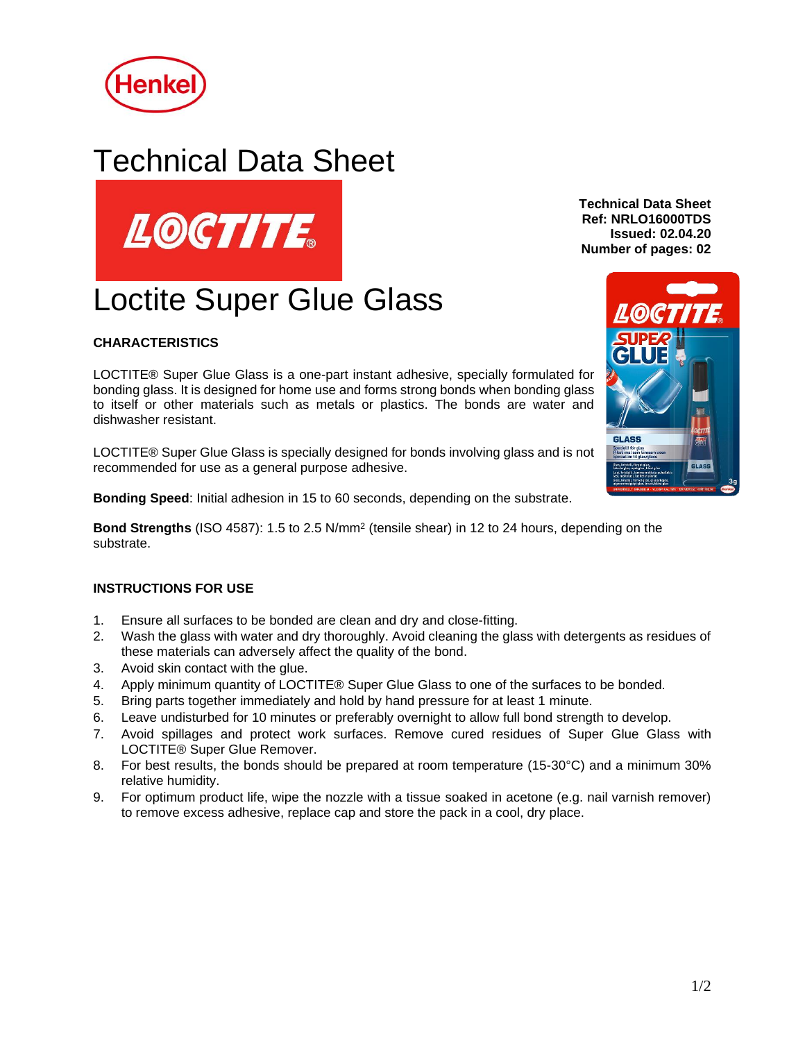

## Technical Data Sheet



# Loctite Super Glue Glass

## **CHARACTERISTICS**

LOCTITE® Super Glue Glass is a one-part instant adhesive, specially formulated for bonding glass. It is designed for home use and forms strong bonds when bonding glass to itself or other materials such as metals or plastics. The bonds are water and dishwasher resistant.

LOCTITE® Super Glue Glass is specially designed for bonds involving glass and is not recommended for use as a general purpose adhesive.

**Bonding Speed**: Initial adhesion in 15 to 60 seconds, depending on the substrate.

**Bond Strengths** (ISO 4587): 1.5 to 2.5 N/mm<sup>2</sup> (tensile shear) in 12 to 24 hours, depending on the substrate.

### **INSTRUCTIONS FOR USE**

- 1. Ensure all surfaces to be bonded are clean and dry and close-fitting.
- 2. Wash the glass with water and dry thoroughly. Avoid cleaning the glass with detergents as residues of these materials can adversely affect the quality of the bond.
- 3. Avoid skin contact with the glue.
- 4. Apply minimum quantity of LOCTITE® Super Glue Glass to one of the surfaces to be bonded.
- 5. Bring parts together immediately and hold by hand pressure for at least 1 minute.
- 6. Leave undisturbed for 10 minutes or preferably overnight to allow full bond strength to develop.
- 7. Avoid spillages and protect work surfaces. Remove cured residues of Super Glue Glass with LOCTITE® Super Glue Remover.
- 8. For best results, the bonds should be prepared at room temperature (15-30°C) and a minimum 30% relative humidity.
- 9. For optimum product life, wipe the nozzle with a tissue soaked in acetone (e.g. nail varnish remover) to remove excess adhesive, replace cap and store the pack in a cool, dry place.

**Technical Data Sheet Ref: NRLO16000TDS Issued: 02.04.20 Number of pages: 02**